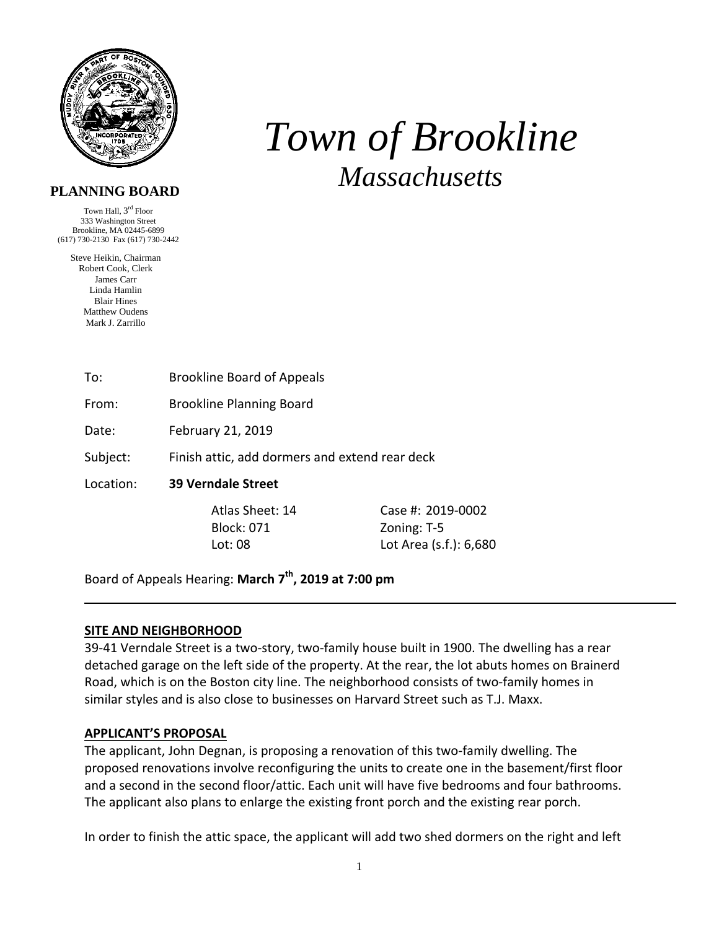

# *Town of Brookline Massachusetts*

## **PLANNING BOARD**

Town Hall, 3rd Floor 333 Washington Street Brookline, MA 02445-6899 (617) 730-2130 Fax (617) 730-2442

Steve Heikin, Chairman Robert Cook, Clerk James Carr Linda Hamlin Blair Hines Matthew Oudens Mark J. Zarrillo

| To: | <b>Brookline Board of Appeals</b> |
|-----|-----------------------------------|
|     |                                   |

From: Brookline Planning Board

Date: February 21, 2019

Subject: Finish attic, add dormers and extend rear deck

Location: **39 Verndale Street** 

Block: 071 Zoning: T-5

Atlas Sheet: 14 Case #: 2019-0002 Lot: 08 Lot Area (s.f.): 6,680

Board of Appeals Hearing: **March 7th, 2019 at 7:00 pm**

## **SITE AND NEIGHBORHOOD**

39‐41 Verndale Street is a two‐story, two‐family house built in 1900. The dwelling has a rear detached garage on the left side of the property. At the rear, the lot abuts homes on Brainerd Road, which is on the Boston city line. The neighborhood consists of two-family homes in similar styles and is also close to businesses on Harvard Street such as T.J. Maxx.

## **APPLICANT'S PROPOSAL**

The applicant, John Degnan, is proposing a renovation of this two-family dwelling. The proposed renovations involve reconfiguring the units to create one in the basement/first floor and a second in the second floor/attic. Each unit will have five bedrooms and four bathrooms. The applicant also plans to enlarge the existing front porch and the existing rear porch.

In order to finish the attic space, the applicant will add two shed dormers on the right and left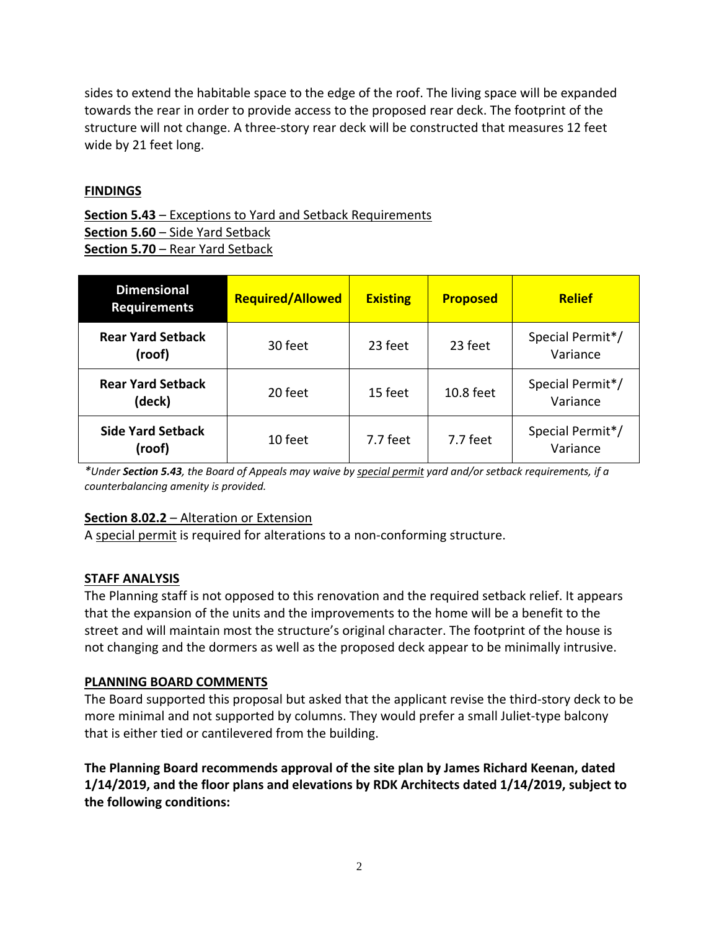sides to extend the habitable space to the edge of the roof. The living space will be expanded towards the rear in order to provide access to the proposed rear deck. The footprint of the structure will not change. A three‐story rear deck will be constructed that measures 12 feet wide by 21 feet long.

## **FINDINGS**

**Section 5.43** – Exceptions to Yard and Setback Requirements **Section 5.60** – Side Yard Setback **Section 5.70** – Rear Yard Setback

| <b>Dimensional</b><br><b>Requirements</b> | <b>Required/Allowed</b> | <b>Existing</b> | <b>Proposed</b> | <b>Relief</b>                |
|-------------------------------------------|-------------------------|-----------------|-----------------|------------------------------|
| <b>Rear Yard Setback</b><br>(roof)        | 30 feet                 | 23 feet         | 23 feet         | Special Permit*/<br>Variance |
| <b>Rear Yard Setback</b><br>(deck)        | 20 feet                 | 15 feet         | $10.8$ feet     | Special Permit*/<br>Variance |
| <b>Side Yard Setback</b><br>(roof)        | 10 feet                 | 7.7 feet        | 7.7 feet        | Special Permit*/<br>Variance |

\*Under Section 5.43, the Board of Appeals may waive by special permit yard and/or setback requirements, if a *counterbalancing amenity is provided.* 

## **Section 8.02.2** – Alteration or Extension

A special permit is required for alterations to a non‐conforming structure.

## **STAFF ANALYSIS**

The Planning staff is not opposed to this renovation and the required setback relief. It appears that the expansion of the units and the improvements to the home will be a benefit to the street and will maintain most the structure's original character. The footprint of the house is not changing and the dormers as well as the proposed deck appear to be minimally intrusive.

## **PLANNING BOARD COMMENTS**

The Board supported this proposal but asked that the applicant revise the third‐story deck to be more minimal and not supported by columns. They would prefer a small Juliet‐type balcony that is either tied or cantilevered from the building.

**The Planning Board recommends approval of the site plan by James Richard Keenan, dated 1/14/2019, and the floor plans and elevations by RDK Architects dated 1/14/2019, subject to the following conditions:**